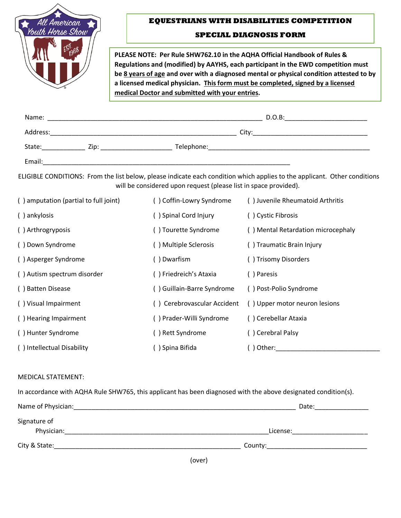

## **EQUESTRIANS WITH DISABILITIES COMPETITION**

## **SPECIAL DIAGNOSIS FORM**

**PLEASE NOTE: Per Rule SHW762.10 in the AQHA Official Handbook of Rules & Regulations and (modified) by AAYHS, each participant in the EWD competition must be 8 years of age and over with a diagnosed mental or physical condition attested to by a licensed medical physician. This form must be completed, signed by a licensed medical Doctor and submitted with your entries.**

| Name:    |                                                                                                                       |            | $D.O.B$ : |  |
|----------|-----------------------------------------------------------------------------------------------------------------------|------------|-----------|--|
| Address: | <u> 1989 - Johann John Stone, market fan it ferstjer fan de fan it ferstjer fan it ferstjer fan it ferstjer fan i</u> |            | City:     |  |
| State:   | Zip:                                                                                                                  | Telephone: |           |  |
| Email:   |                                                                                                                       |            |           |  |

ELIGIBLE CONDITIONS: From the list below, please indicate each condition which applies to the applicant. Other conditions will be considered upon request (please list in space provided).

| () amputation (partial to full joint) | () Coffin-Lowry Syndrome   | () Juvenile Rheumatoid Arthritis   |  |
|---------------------------------------|----------------------------|------------------------------------|--|
| () ankylosis                          | () Spinal Cord Injury      | () Cystic Fibrosis                 |  |
| () Arthrogryposis                     | () Tourette Syndrome       | () Mental Retardation microcephaly |  |
| () Down Syndrome                      | () Multiple Sclerosis      | () Traumatic Brain Injury          |  |
| () Asperger Syndrome                  | ) Dwarfism                 | () Trisomy Disorders               |  |
| () Autism spectrum disorder           | () Friedreich's Ataxia     | () Paresis                         |  |
| () Batten Disease                     | () Guillain-Barre Syndrome | () Post-Polio Syndrome             |  |
| () Visual Impairment                  | Cerebrovascular Accident   | () Upper motor neuron lesions      |  |
| () Hearing Impairment                 | () Prader-Willi Syndrome   | () Cerebellar Ataxia               |  |
| () Hunter Syndrome                    | () Rett Syndrome           | () Cerebral Palsy                  |  |
| () Intellectual Disability            | () Spina Bifida            | () Other:                          |  |

## MEDICAL STATEMENT:

In accordance with AQHA Rule SHW765, this applicant has been diagnosed with the above designated condition(s).

| Name of Physician: | Date:    |
|--------------------|----------|
| Signature of       |          |
| Physician:         | License: |
| City & State:      | County:  |

(over)